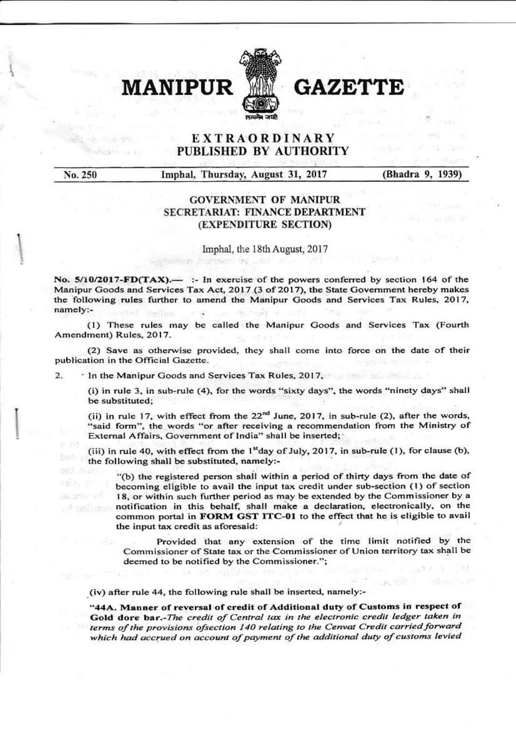

**IIPHR** 

# **GAZE7**

## **EXTRAORDINARY** PUBLISHED BY AUTHORITY

No. 250

96E Strin

Imphal, Thursday, August 31, 2017

historian Au

(Bhadra 9, 1939)

### **GOVERNMENT OF MANIPUR SECRETARIAT: FINANCE DEPARTMENT** (EXPENDITURE SECTION)

Imphal, the 18th August, 2017

No.  $5/10/2017$ -FD(TAX).— :- In exercise of the powers conferred by section 164 of the Manipur Goods and Services Tax Act, 2017 (3 of 2017), the State Government hereby makes the following rules further to amend the Manipur Goods and Services Tax Rules, 2017, namely:-×

(1) These rules may be called the Manipur Goods and Services Tax (Fourth Amendment) Rules, 2017.

(2) Save as otherwise provided, they shall come into force on the date of their publication in the Official Gazette.

 $\overline{2}$ . . In the Manipur Goods and Services Tax Rules, 2017,

> (i) in rule 3, in sub-rule (4), for the words "sixty days", the words "ninety days" shall be substituted;

> (ii) in rule 17, with effect from the  $22<sup>nd</sup>$  June, 2017, in sub-rule (2), after the words, "said form", the words "or after receiving a recommendation from the Ministry of External Affairs, Government of India" shall be inserted;

> (iii) in rule 40, with effect from the 1<sup>st</sup>day of July, 2017, in sub-rule (1), for clause (b), the following shall be substituted, namely:-

"(b) the registered person shall within a period of thirty days from the date of becoming eligible to avail the input tax credit under sub-section (1) of section 18, or within such further period as may be extended by the Commissioner by a notification in this behalf, shall make a declaration, electronically, on the common portal in FORM GST ITC-01 to the effect that he is eligible to avail the input tax credit as aforesaid:

Provided that any extension of the time limit notified by the Commissioner of State tax or the Commissioner of Union territory tax shall be deemed to be notified by the Commissioner.";

(iv) after rule 44, the following rule shall be inserted, namely:-

"44A. Manner of reversal of credit of Additional duty of Customs in respect of Gold dore bar.-The credit of Central tax in the electronic credit ledger taken in terms of the provisions ofsection 140 relating to the Cenvat Credit carried forward which had accrued on account of payment of the additional duty of customs levied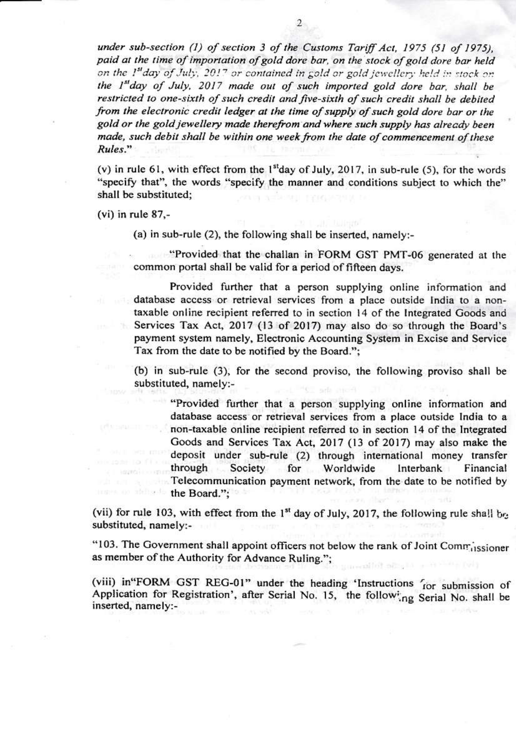under sub-section (1) of section 3 of the Customs Tariff Act, 1975 (51 of 1975). paid at the time of importation of gold dore bar, on the stock of gold dore bar held on the 1st day of July, 2017 or contained in gold or gold jewellery held in stock on the 1st day of July, 2017 made out of such imported gold dore bar, shall be restricted to one-sixth of such credit and five-sixth of such credit shall be debited from the electronic credit ledger at the time of supply of such gold dore bar or the gold or the gold jewellery made therefrom and where such supply has already been made, such debit shall be within one week from the date of commencement of these Rules."

(v) in rule 61, with effect from the  $1<sup>st</sup>$ day of July, 2017, in sub-rule (5), for the words "specify that", the words "specify the manner and conditions subject to which the" shall be substituted;

 $(vi)$  in rule 87,-

(a) in sub-rule (2), the following shall be inserted, namely:-

"Provided that the challan in FORM GST PMT-06 generated at the common portal shall be valid for a period of fifteen days.

Provided further that a person supplying online information and database access or retrieval services from a place outside India to a nontaxable online recipient referred to in section 14 of the Integrated Goods and Services Tax Act, 2017 (13 of 2017) may also do so through the Board's Ïю payment system namely, Electronic Accounting System in Excise and Service Tax from the date to be notified by the Board.";

(b) in sub-rule (3), for the second proviso, the following proviso shall be substituted, namely:-

"Provided further that a person supplying online information and database access or retrieval services from a place outside India to a non-taxable online recipient referred to in section 14 of the Integrated Goods and Services Tax Act, 2017 (13 of 2017) may also make the deposit under sub-rule (2) through international money transfer Interbank through Society for Worldwide Financial Telecommunication payment network, from the date to be notified by the Board.";

(vii) for rule 103, with effect from the 1<sup>st</sup> day of July, 2017, the following rule shall be substituted, namely:-

"103. The Government shall appoint officers not below the rank of Joint Commissioner as member of the Authority for Advance Ruling.";

(viii) in"FORM GST REG-01" under the heading 'Instructions for submission of Application for Registration', after Serial No. 15, the following Serial No. shall be inserted, namely:-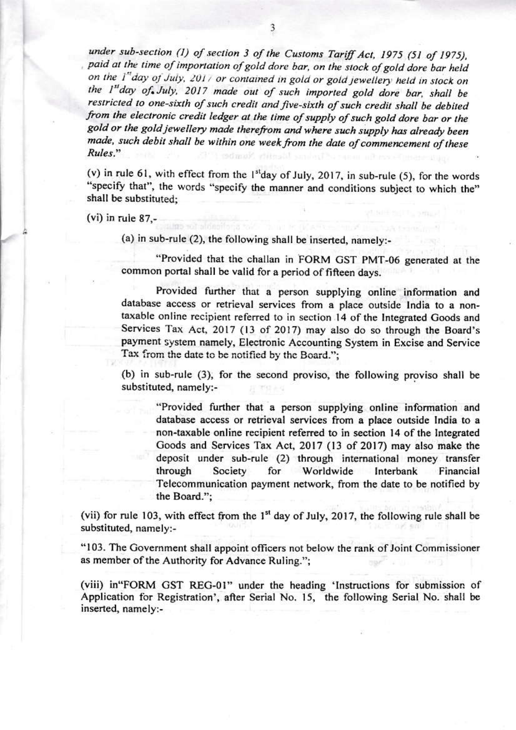under sub-section (1) of section 3 of the Customs Tariff Act, 1975 (51 of 1975), paid at the time of importation of gold dore bar, on the stock of gold dore bar held on the 1"day of July, 2017 or contained in gold or gold jewellery held in stock on the 1st day of July, 2017 made out of such imported gold dore bar, shall be restricted to one-sixth of such credit and five-sixth of such credit shall be debited from the electronic credit ledger at the time of supply of such gold dore bar or the gold or the gold jewellery made therefrom and where such supply has already been made, such debit shall be within one week from the date of commencement of these Rules."

(v) in rule 61, with effect from the  $1<sup>st</sup>$ day of July, 2017, in sub-rule (5), for the words "specify that", the words "specify the manner and conditions subject to which the" shall be substituted;

 $(vi)$  in rule 87,-

(a) in sub-rule (2), the following shall be inserted, namely:-

"Provided that the challan in FORM GST PMT-06 generated at the common portal shall be valid for a period of fifteen days.

Provided further that a person supplying online information and database access or retrieval services from a place outside India to a nontaxable online recipient referred to in section 14 of the Integrated Goods and Services Tax Act, 2017 (13 of 2017) may also do so through the Board's payment system namely, Electronic Accounting System in Excise and Service Tax from the date to be notified by the Board.";

(b) in sub-rule (3), for the second proviso, the following proviso shall be substituted, namely:-

"Provided further that a person supplying online information and database access or retrieval services from a place outside India to a non-taxable online recipient referred to in section 14 of the Integrated Goods and Services Tax Act, 2017 (13 of 2017) may also make the deposit under sub-rule (2) through international money transfer through Society for Worldwide Interbank Financial Telecommunication payment network, from the date to be notified by the Board.":

(vii) for rule 103, with effect from the 1<sup>st</sup> day of July, 2017, the following rule shall be substituted, namely:-

"103. The Government shall appoint officers not below the rank of Joint Commissioner as member of the Authority for Advance Ruling.";

(viii) in "FORM GST REG-01" under the heading 'Instructions for submission of Application for Registration', after Serial No. 15, the following Serial No. shall be inserted, namely:-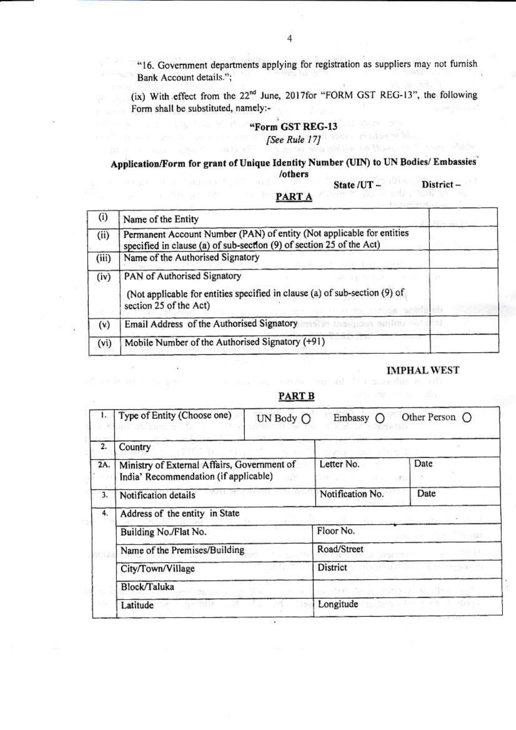"16. Government departments applying for registration as suppliers may not furnish Bank Account details.";

(ix) With effect from the 22<sup>nd</sup> June, 2017for "FORM GST REG-13", the following Form shall be substituted, namely:-

### "Form GST REG-13 [See Rule 17]

### Application/Form for grant of Unique Identity Number (UIN) to UN Bodies/ Embassies /others

State /UT-

District-

#### **PART A**

| $\left( i\right)$ | Name of the Entity                                                                                                                            |  |
|-------------------|-----------------------------------------------------------------------------------------------------------------------------------------------|--|
| (ii)              | Permanent Account Number (PAN) of entity (Not applicable for entities<br>specified in clause (a) of sub-section (9) of section 25 of the Act) |  |
| (iii)             | Name of the Authorised Signatory                                                                                                              |  |
| (iv)              | PAN of Authorised Signatory<br>(Not applicable for entities specified in clause (a) of sub-section (9) of<br>section 25 of the Act)           |  |
| (v)               | Email Address of the Authorised Signatory<br>St the august smiles net                                                                         |  |
| (vi)              | Mobile Number of the Authorised Signatory (+91)                                                                                               |  |

#### **IMPHAL WEST**

### **PART B**

|     | Type of Entity (Choose one)                                                          | UN Body O | Embassy $\bigcirc$            | Other Person ( |
|-----|--------------------------------------------------------------------------------------|-----------|-------------------------------|----------------|
| 2.  | Country                                                                              |           |                               |                |
| 2A. | Ministry of External Affairs, Government of<br>India' Recommendation (if applicable) |           | Letter No.                    | Date<br>AFG.   |
| 3.  | Notification details                                                                 |           | Notification No.              | Date           |
| 4.  | Address of the entity in State                                                       |           |                               |                |
|     | Building No./Flat No.                                                                |           | Floor No.                     |                |
|     | Name of the Premises/Building                                                        |           | Road/Street                   |                |
|     | City/Town/Village                                                                    |           | District                      |                |
|     | Block/Taluka                                                                         |           |                               |                |
|     | Latitude                                                                             |           | Longitude<br>$1 + 12 + 1 + 1$ |                |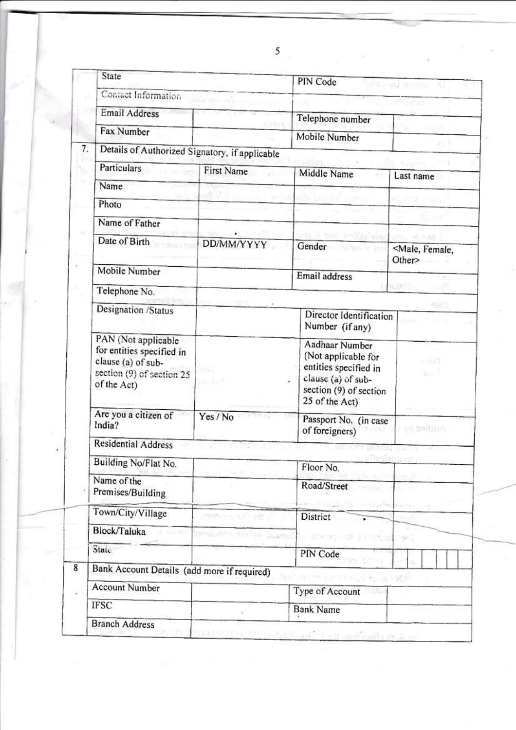|    | State                                                                                                              |                 | PIN Code<br>shound distinct                                                                                                      |                                    |  |  |
|----|--------------------------------------------------------------------------------------------------------------------|-----------------|----------------------------------------------------------------------------------------------------------------------------------|------------------------------------|--|--|
|    | Contact Information                                                                                                |                 |                                                                                                                                  |                                    |  |  |
|    | Email Address                                                                                                      | anya            | Telephone number                                                                                                                 |                                    |  |  |
|    | Fax Number                                                                                                         |                 | Mobile Number                                                                                                                    |                                    |  |  |
| 7. | Details of Authorized Signatory, if applicable                                                                     |                 |                                                                                                                                  |                                    |  |  |
|    | <b>Particulars</b>                                                                                                 | First Name      | Middle Name                                                                                                                      | Last name                          |  |  |
|    | Name                                                                                                               |                 |                                                                                                                                  |                                    |  |  |
|    | Photo                                                                                                              |                 |                                                                                                                                  |                                    |  |  |
|    | Name of Father                                                                                                     |                 |                                                                                                                                  |                                    |  |  |
|    | Date of Birth                                                                                                      | DD/MM/YYYY      | <b>GPA PITERS VAN</b><br>Gender                                                                                                  | <male, female,<br="">Other</male,> |  |  |
|    | Mobile Number                                                                                                      |                 | Email address                                                                                                                    |                                    |  |  |
|    | Telephone No.                                                                                                      |                 |                                                                                                                                  | (Titl)                             |  |  |
|    | Designation /Status                                                                                                |                 | Director Identification<br>Number (if any)                                                                                       | ASAS.                              |  |  |
|    | PAN (Not applicable<br>for entities specified in<br>clause (a) of sub-<br>section (9) of section 25<br>of the Act) | -50<br>kentroft | Aadhaar Number<br>(Not applicable for<br>entities specified in<br>clause (a) of sub-<br>section (9) of section<br>25 of the Act) | oar U<br>$22-$                     |  |  |
|    | Are you a citizen of<br>India?                                                                                     | Yes / No        | Passport No. (in case<br>of foreigners)                                                                                          | ed telling                         |  |  |
|    | <b>Residential Address</b>                                                                                         |                 |                                                                                                                                  |                                    |  |  |
|    | Building No/Flat No.                                                                                               |                 | Floor No.                                                                                                                        |                                    |  |  |
|    | Name of the<br>Premises/Building                                                                                   |                 | Road/Street                                                                                                                      |                                    |  |  |
|    | Town/City/Village                                                                                                  | inamirrol) art  | constitution and the con-<br>District                                                                                            |                                    |  |  |
|    | Block/Taluka                                                                                                       | <b>DOM ROS</b>  | - 1000001 01:10 - 01:00:1940                                                                                                     |                                    |  |  |
|    | State                                                                                                              |                 | PIN Code                                                                                                                         |                                    |  |  |
| 8  | Bank Account Details (add more if required)<br>annel Dan (Front Soepara) v 1950                                    |                 |                                                                                                                                  |                                    |  |  |
|    | <b>Account Number</b>                                                                                              |                 | Type of Account                                                                                                                  |                                    |  |  |
|    | <b>IFSC</b>                                                                                                        | Ÿ.              | <b>Bank Name</b>                                                                                                                 |                                    |  |  |
|    | <b>Branch Address</b>                                                                                              |                 |                                                                                                                                  |                                    |  |  |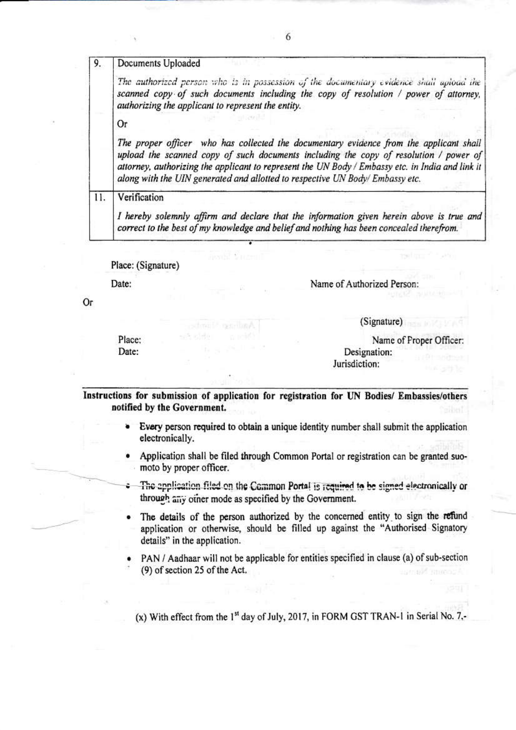| 9.  | Documents Uploaded                                                                                                                                                                                                                                                                                                                                                  |  |  |
|-----|---------------------------------------------------------------------------------------------------------------------------------------------------------------------------------------------------------------------------------------------------------------------------------------------------------------------------------------------------------------------|--|--|
|     | The authorized person who is in possession of the documentary evidence shall apload the<br>scanned copy of such documents including the copy of resolution / power of attorney,<br>authorizing the applicant to represent the entity.                                                                                                                               |  |  |
|     | Or                                                                                                                                                                                                                                                                                                                                                                  |  |  |
|     | The proper officer who has collected the documentary evidence from the applicant shall<br>upload the scanned copy of such documents including the copy of resolution / power of<br>attorney, authorizing the applicant to represent the UN Body / Embassy etc. in India and link it<br>along with the UIN generated and allotted to respective UN Body/Embassy etc. |  |  |
| 11. | Verification                                                                                                                                                                                                                                                                                                                                                        |  |  |
|     | I hereby solemnly affirm and declare that the information given herein above is true and<br>correct to the best of my knowledge and belief and nothing has been concealed therefrom.                                                                                                                                                                                |  |  |

Place: (Signature)

Date:

Name of Authorized Person:

Jurisdiction:

(Signature)

Or

Place: Date:

Name of Proper Officer: Designation:

Instructions for submission of application for registration for UN Bodies/ Embassies/others notified by the Government.

- Every person required to obtain a unique identity number shall submit the application electronically.
- Application shall be filed through Common Portal or registration can be granted suomoto by proper officer.
- The application filed on the Common Portal is required to be signed electronically or through any other mode as specified by the Government.
- The details of the person authorized by the concerned entity to sign the refund application or otherwise, should be filled up against the "Authorised Signatory details" in the application.
- PAN / Aadhaar will not be applicable for entities specified in clause (a) of sub-section (9) of section 25 of the Act.

(x) With effect from the 1<sup>st</sup> day of July, 2017, in FORM GST TRAN-1 in Serial No. 7,-